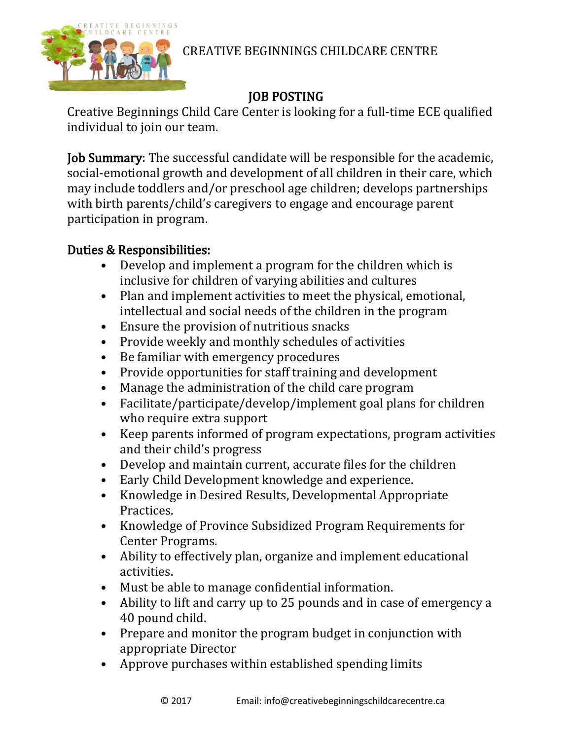

CREATIVE BEGINNINGS CHILDCARE CENTRE

## JOB POSTING

Creative Beginnings Child Care Center is looking for a full-time ECE qualified individual to join our team.

Job Summary: The successful candidate will be responsible for the academic, social-emotional growth and development of all children in their care, which may include toddlers and/or preschool age children; develops partnerships with birth parents/child's caregivers to engage and encourage parent participation in program.

## Duties & Responsibilities:

- Develop and implement a program for the children which is inclusive for children of varying abilities and cultures
- Plan and implement activities to meet the physical, emotional, intellectual and social needs of the children in the program
- Ensure the provision of nutritious snacks
- Provide weekly and monthly schedules of activities
- Be familiar with emergency procedures
- Provide opportunities for staff training and development
- Manage the administration of the child care program
- Facilitate/participate/develop/implement goal plans for children who require extra support
- Keep parents informed of program expectations, program activities and their child's progress
- Develop and maintain current, accurate files for the children
- Early Child Development knowledge and experience.
- Knowledge in Desired Results, Developmental Appropriate Practices.
- Knowledge of Province Subsidized Program Requirements for Center Programs.
- Ability to effectively plan, organize and implement educational activities.
- Must be able to manage confidential information.
- Ability to lift and carry up to 25 pounds and in case of emergency a 40 pound child.
- Prepare and monitor the program budget in conjunction with appropriate Director
- Approve purchases within established spending limits